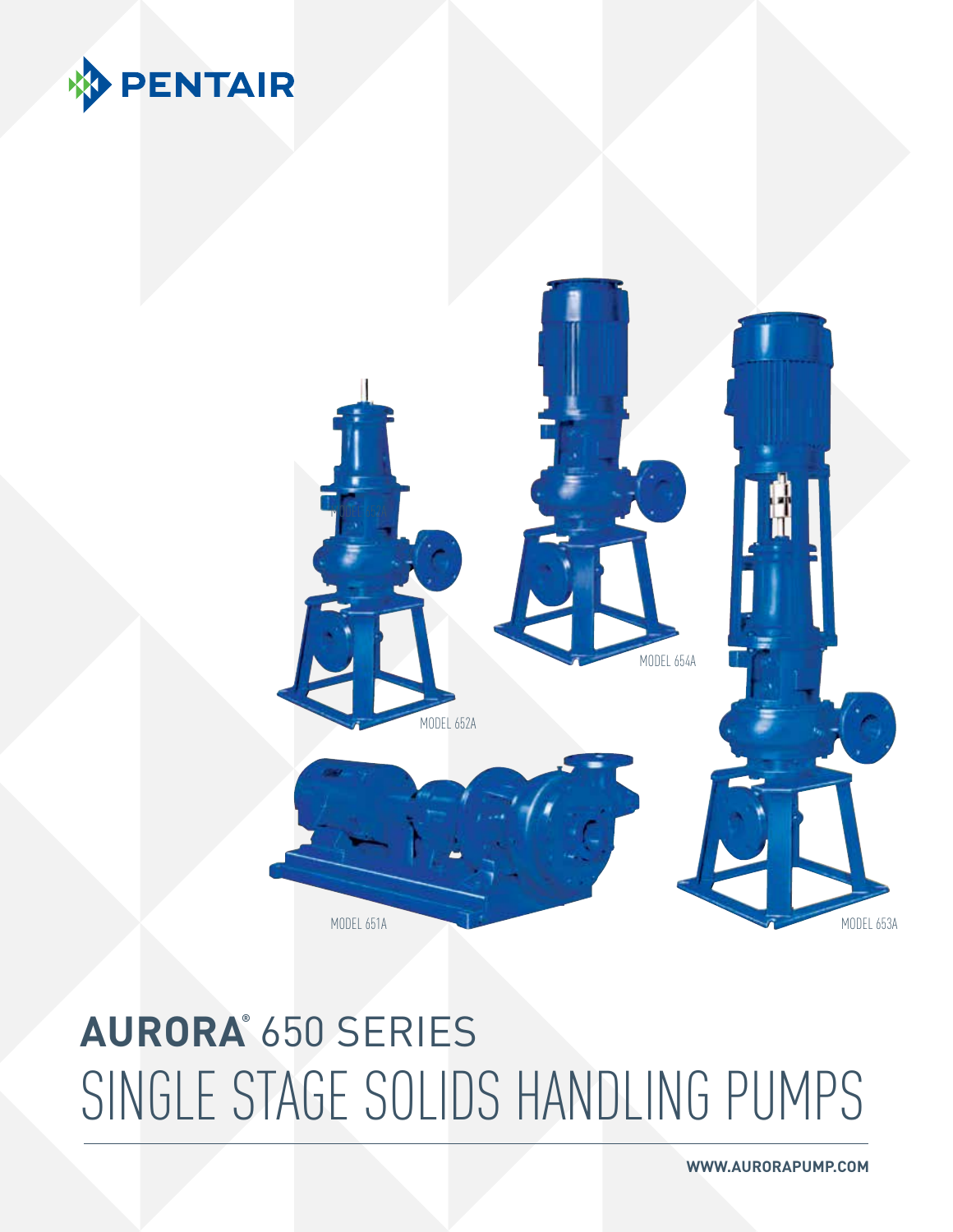

### **AURORA®** 650 Series SINGLE STAGE SOLIDS HANDLING PUMPS



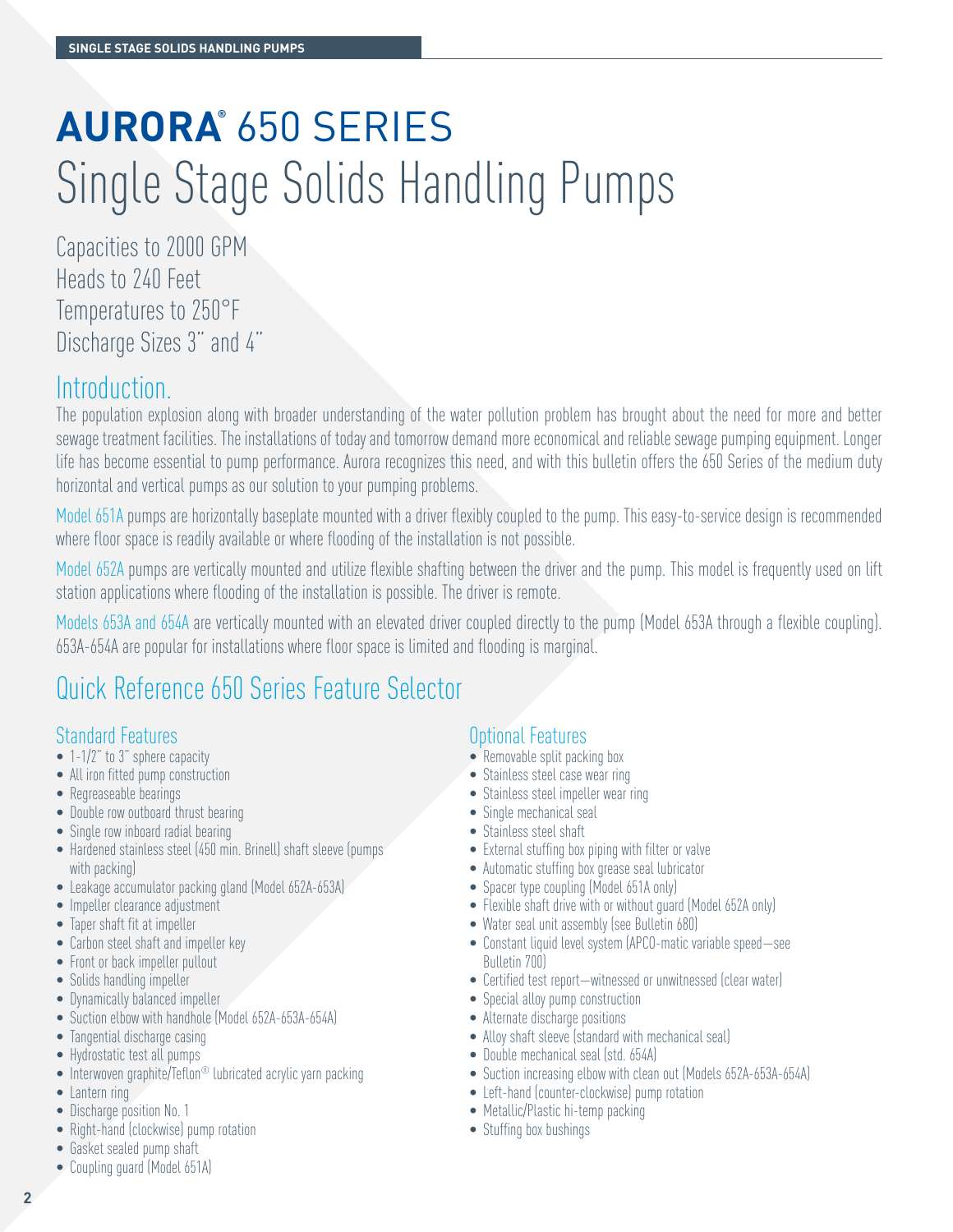### **AURORA®** 650 Series Single Stage Solids Handling Pumps

Capacities to 2000 GPM Heads to 240 Feet Temperatures to 250°F Discharge Sizes 3" and 4"

#### Introduction.

The population explosion along with broader understanding of the water pollution problem has brought about the need for more and better sewage treatment facilities. The installations of today and tomorrow demand more economical and reliable sewage pumping equipment. Longer life has become essential to pump performance. Aurora recognizes this need, and with this bulletin offers the 650 Series of the medium duty horizontal and vertical pumps as our solution to your pumping problems.

Model 651A pumps are horizontally baseplate mounted with a driver flexibly coupled to the pump. This easy-to-service design is recommended where floor space is readily available or where flooding of the installation is not possible.

Model 652A pumps are vertically mounted and utilize flexible shafting between the driver and the pump. This model is frequently used on lift station applications where flooding of the installation is possible. The driver is remote.

Models 653A and 654A are vertically mounted with an elevated driver coupled directly to the pump (Model 653A through a flexible coupling). 653A-654A are popular for installations where floor space is limited and flooding is marginal.

### Quick Reference 650 Series Feature Selector

#### Standard Features

- 1-1/2" to 3" sphere capacity
- All iron fitted pump construction
- Regreaseable bearings
- Double row outboard thrust bearing
- Single row inboard radial bearing
- Hardened stainless steel (450 min. Brinell) shaft sleeve (pumps with packing)
- Leakage accumulator packing gland (Model 652A-653A)
- Impeller clearance adjustment
- Taper shaft fit at impeller
- Carbon steel shaft and impeller key
- Front or back impeller pullout
- Solids handling impeller
- Dynamically balanced impeller
- Suction elbow with handhole (Model 652A-653A-654A)
- Tangential discharge casing
- Hydrostatic test all pumps
- Interwoven graphite/Teflon<sup>®</sup> lubricated acrylic yarn packing
- Lantern ring
- Discharge position No. 1
- Right-hand (clockwise) pump rotation
- Gasket sealed pump shaft
- Coupling guard (Model 651A)

#### Optional Features

- Removable split packing box
- Stainless steel case wear ring
- Stainless steel impeller wear ring
- Single mechanical seal
- Stainless steel shaft
- External stuffing box piping with filter or valve
- Automatic stuffing box grease seal lubricator
- Spacer type coupling (Model 651A only)
- Flexible shaft drive with or without guard (Model 652A only)
- Water seal unit assembly (see Bulletin 680)
- Constant liquid level system (APCO-matic variable speed—see Bulletin 700)
- Certified test report—witnessed or unwitnessed (clear water)
- Special alloy pump construction
- Alternate discharge positions
- Alloy shaft sleeve (standard with mechanical seal)
- Double mechanical seal (std. 654A)
- Suction increasing elbow with clean out (Models 652A-653A-654A)
- Left-hand (counter-clockwise) pump rotation
- Metallic/Plastic hi-temp packing
- Stuffing box bushings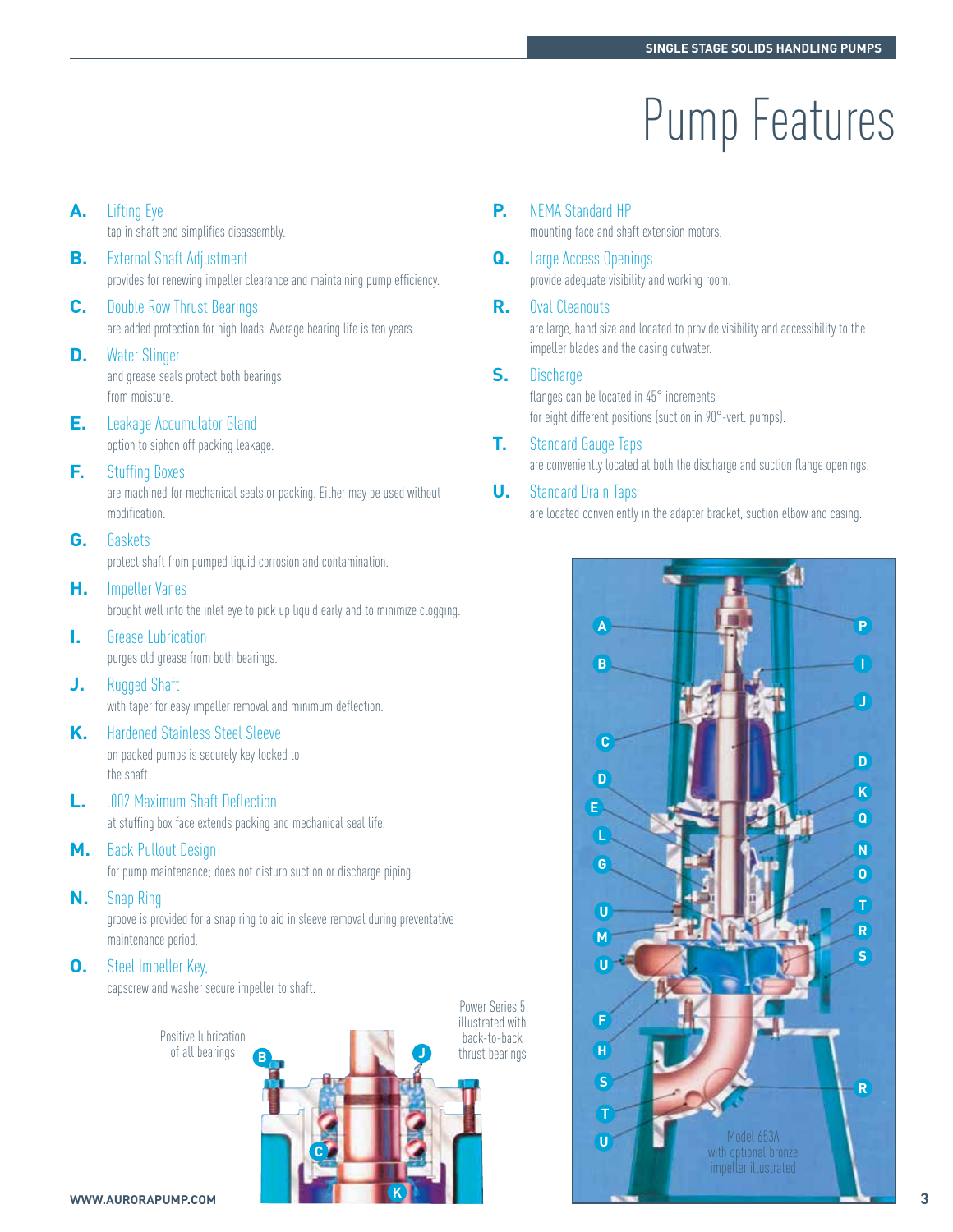## Pump Features

- **A.** Lifting Eye tap in shaft end simplifies disassembly. **B.** External Shaft Adjustment provides for renewing impeller clearance and maintaining pump efficiency.
- **C.** Double Row Thrust Bearings are added protection for high loads. Average bearing life is ten years.
- **D.** Water Slinger

and grease seals protect both bearings from moisture.

- **E.** Leakage Accumulator Gland option to siphon off packing leakage.
- **F.** Stuffing Boxes

are machined for mechanical seals or packing. Either may be used without modification.

**G.** Gaskets

protect shaft from pumped liquid corrosion and contamination.

**H.** Impeller Vanes

brought well into the inlet eye to pick up liquid early and to minimize clogging.

- **I.** Grease Lubrication purges old grease from both bearings.
- **J.** Rugged Shaft with taper for easy impeller removal and minimum deflection.
- **K.** Hardened Stainless Steel Sleeve on packed pumps is securely key locked to the shaft.
- **L.** .002 Maximum Shaft Deflection at stuffing box face extends packing and mechanical seal life.
- **M.** Back Pullout Design

for pump maintenance; does not disturb suction or discharge piping.

**N.** Snap Ring

groove is provided for a snap ring to aid in sleeve removal during preventative maintenance period.

**O.** Steel Impeller Key,

capscrew and washer secure impeller to shaft.



**P.** NEMA Standard HP

mounting face and shaft extension motors.

- **Q.** Large Access Openings provide adequate visibility and working room.
- **R.** Oval Cleanouts

are large, hand size and located to provide visibility and accessibility to the impeller blades and the casing cutwater.

**S.** Discharge

Power Series 5

flanges can be located in 45° increments for eight different positions (suction in 90°-vert. pumps).

- **T.** Standard Gauge Taps are conveniently located at both the discharge and suction flange openings.
- **U.** Standard Drain Taps

are located conveniently in the adapter bracket, suction elbow and casing.

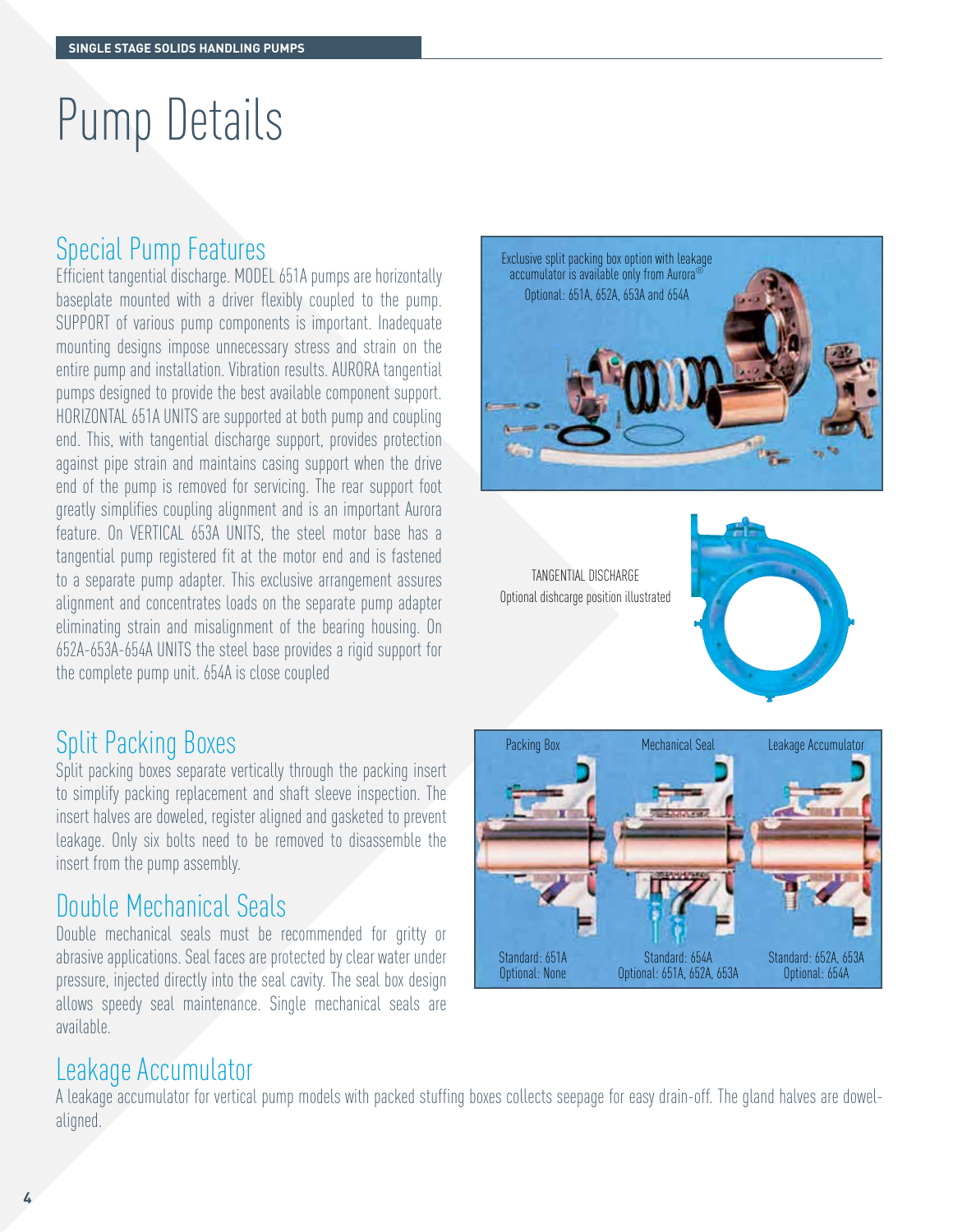## Pump Details

#### Special Pump Features

Efficient tangential discharge. MODEL 651A pumps are horizontally baseplate mounted with a driver flexibly coupled to the pump. SUPPORT of various pump components is important. Inadequate mounting designs impose unnecessary stress and strain on the entire pump and installation. Vibration results. AURORA tangential pumps designed to provide the best available component support. HORIZONTAL 651A UNITS are supported at both pump and coupling end. This, with tangential discharge support, provides protection against pipe strain and maintains casing support when the drive end of the pump is removed for servicing. The rear support foot greatly simplifies coupling alignment and is an important Aurora feature. On VERTICAL 653A UNITS, the steel motor base has a tangential pump registered fit at the motor end and is fastened to a separate pump adapter. This exclusive arrangement assures alignment and concentrates loads on the separate pump adapter eliminating strain and misalignment of the bearing housing. On 652A-653A-654A UNITS the steel base provides a rigid support for the complete pump unit. 654A is close coupled

#### Split Packing Boxes

Split packing boxes separate vertically through the packing insert to simplify packing replacement and shaft sleeve inspection. The insert halves are doweled, register aligned and gasketed to prevent leakage. Only six bolts need to be removed to disassemble the insert from the pump assembly.

#### Double Mechanical Seals

Double mechanical seals must be recommended for gritty or abrasive applications. Seal faces are protected by clear water under pressure, injected directly into the seal cavity. The seal box design allows speedy seal maintenance. Single mechanical seals are available.

#### Leakage Accumulator

A leakage accumulator for vertical pump models with packed stuffing boxes collects seepage for easy drain-off. The gland halves are dowelaligned.



TANGENTIAL DISCHARGE Optional dishcarge position illustrated



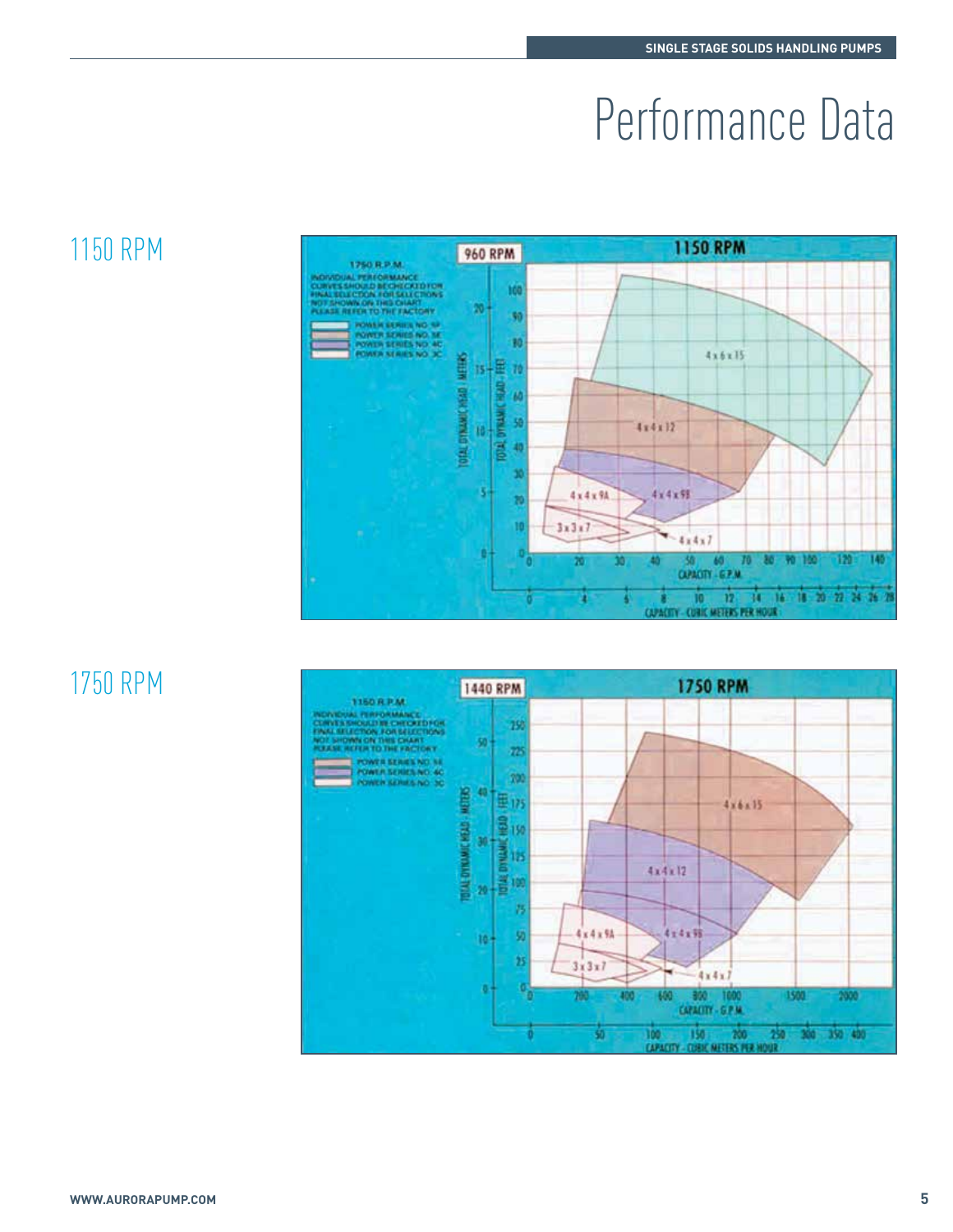## Performance Data

### 1150 RPM



### 1750 RPM

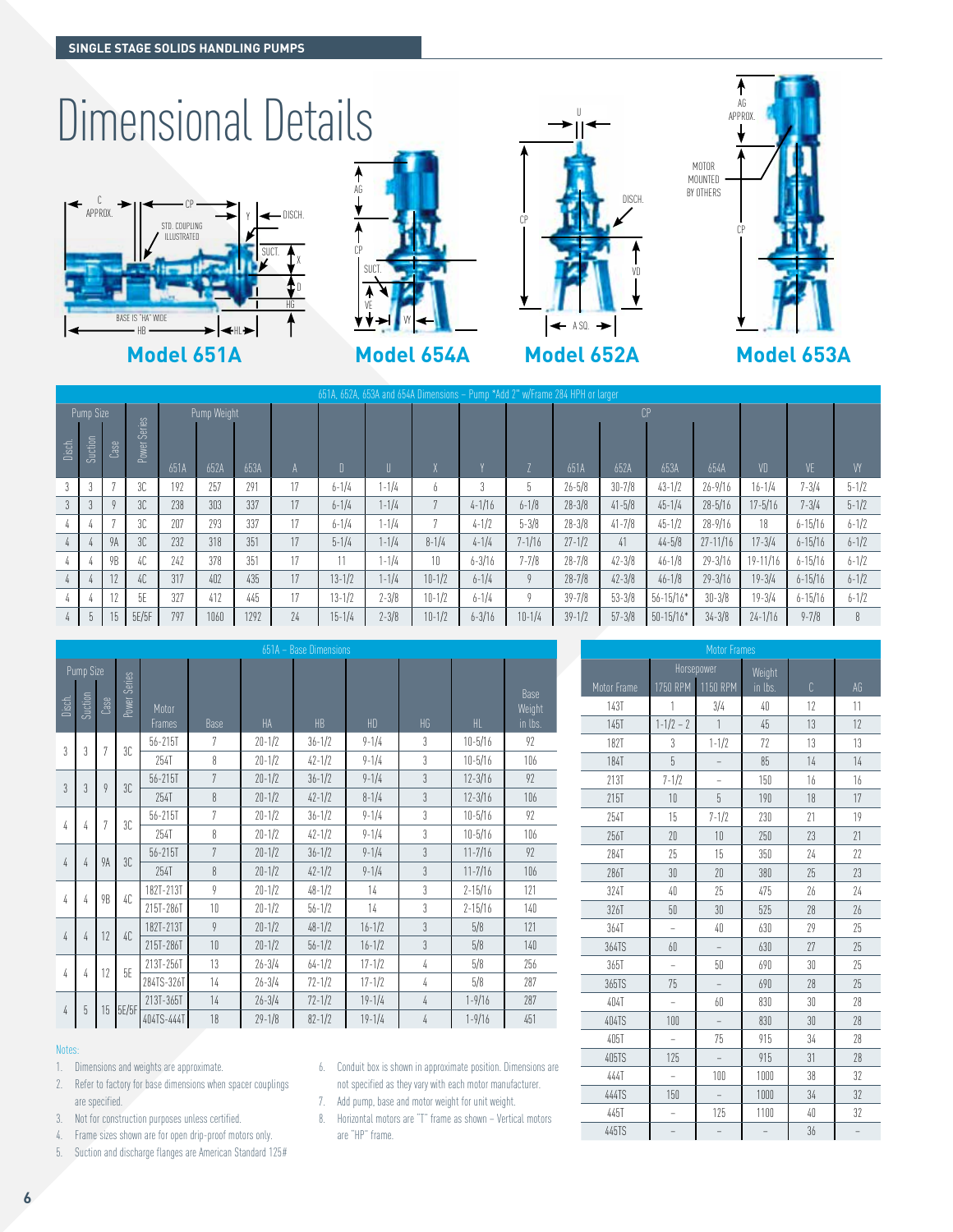#### Dimensional Details **AG** C ↞ CP









**Model 651A Model 654A Model 652A Model 653A**

651A, 652A, 653A and 654A Dimensions – Pump \*Add 2" w/Frame 284 HPH or larger Pump Size Power Serie Pump Weight A D U X Y Z  $\cap$ VD VE VY Disch. Suction Case 651A 652A 653A 651A 652A 653A 654A 3 3 7 3C 192 257 291 17 6-1/4 1-1/4 6 3 5 26-5/8 30-7/8 43-1/2 26-9/16 16-1/4 7-3/4 5-1/2 3 | 3 | 9 | 3C | 238 | 303 | 337 | 17 | 6-1/4 | 1-1/4 | 7 | 4-1/16 | 6-1/8 | 28-3/8 | 41-5/8 | 45-1/4 | 28-5/16 | 17-5/16 | 7-3/4 | 5-1/2 4 4 7 3C 207 293 337 17 6-1/4 1-1/4 7 4-1/2 5-3/8 28-3/8 41-7/8 45-1/2 28-9/16 18 6-15/16 6-1/2 4 4 9A 3C 232 318 351 17 5-1/4 1-1/4 8-1/4 4-1/4 7-1/16 27-1/2 41 44-5/8 27-11/16 17-3/4 6-15/16 6-1/2 4 4 9B 4C 242 378 351 17 11 1-1/4 10 6-3/16 7-7/8 28-7/8 42-3/8 46-1/8 29-3/16 19-11/16 6-15/16 6-1/2 4 | 4 | 12 | 4C | 317 | 402 | 435 | 17 | 13-1/2 | 1-1/4 | 10-1/2 | 6-1/4 | 9 | 28-7/8 | 42-3/8 | 46-1/8 | 29-3/16 | 19-3/4 | 6-15/16 | 6-1/2 4 | 4 | 12 | 5E | 327 | 412 | 445 | 17 | 13-1/2 | 2-3/8 | 10-1/2 | 6-1/4 | 9 | 39-7/8 | 53-3/8 | 56-15/16\* | 30-3/8 | 19-3/4 | 6-15/16 | 6-1/2 4 5 15 5E/5F 797 1060 1292 24 15-1/4 2-3/8 10-1/2 6-3/16 10-1/4 39-1/2 57-3/8 50-15/16\* 34-3/8 24-1/16 9-7/8 8

|                | 651A - Base Dimensions |           |              |                        |                |            |            |            |                |             |                           |
|----------------|------------------------|-----------|--------------|------------------------|----------------|------------|------------|------------|----------------|-------------|---------------------------|
| Pump Size      |                        |           |              |                        |                |            |            |            |                |             |                           |
| Disch.         | Suction                | Case      | Power Series | Motor<br><b>Frames</b> | <b>Base</b>    | <b>HA</b>  | HB         | HD         | HG             | HL.         | Base<br>Weight<br>in lbs. |
| 3              | 3                      | 7         | 3C           | 56-215T                | 7              | $20 - 1/2$ | $36 - 1/2$ | $9 - 1/4$  | 3              | $10 - 5/16$ | 92                        |
|                |                        |           |              | 254T                   | 8              | $20 - 1/2$ | $42 - 1/2$ | $9 - 1/4$  | $\overline{3}$ | $10 - 5/16$ | 106                       |
| $\overline{3}$ | $\overline{3}$         | 9         | 3C           | 56-215T                | $\overline{7}$ | $20 - 1/2$ | $36 - 1/2$ | $9 - 1/4$  | $\overline{3}$ | $12 - 3/16$ | 92                        |
|                |                        |           |              | 254T                   | 8              | $20 - 1/2$ | $42 - 1/2$ | $8 - 1/4$  | $\overline{3}$ | $12 - 3/16$ | 106                       |
| $\sqrt{4}$     | 4                      | 7         | 3C           | 56-215T                | 7              | $20 - 1/2$ | $36 - 1/2$ | $9 - 1/4$  | 3              | $10 - 5/16$ | 92                        |
|                |                        |           |              | 254T                   | 8              | $20 - 1/2$ | $42 - 1/2$ | $9 - 1/4$  | 3              | $10 - 5/16$ | 106                       |
| $\sqrt{4}$     | 4                      | <b>9A</b> | 3C           | 56-215T                | 7              | $20 - 1/2$ | $36 - 1/2$ | $9 - 1/4$  | $\overline{3}$ | $11 - 7/16$ | 92                        |
|                |                        |           |              | 254T                   | 8              | $20 - 1/2$ | $42 - 1/2$ | $9 - 1/4$  | 3              | $11 - 7/16$ | 106                       |
| 4<br>4         |                        | 9B        | 40           | 182T-213T              | 9              | $20 - 1/2$ | $48 - 1/2$ | 14         | $\overline{3}$ | $2 - 15/16$ | 121                       |
|                |                        |           |              | 215T-286T              | 10             | $20 - 1/2$ | $56 - 1/2$ | 14         | 3              | $2 - 15/16$ | 140                       |
| 4              |                        | 12        | 40           | 182T-213T              | $\mathfrak{g}$ | $20 - 1/2$ | $48 - 1/2$ | $16 - 1/2$ | $\overline{3}$ | 5/8         | 121                       |
|                | 4                      |           |              | 215T-286T              | 10             | $20 - 1/2$ | $56 - 1/2$ | $16 - 1/2$ | $\overline{3}$ | 5/8         | 140                       |
| 4              | 4                      | 12        | 5E           | 213T-256T              | 13             | $26 - 3/4$ | $64 - 1/2$ | $17 - 1/2$ | 4              | 5/8         | 256                       |
|                |                        |           |              | 284TS-326T             | 14             | $26 - 3/4$ | $72 - 1/2$ | $17 - 1/2$ | 4              | 5/8         | 287                       |
|                | 5                      | 15        | 5E/5F        | 213T-365T              | 14             | $26 - 3/4$ | $72 - 1/2$ | $19 - 1/4$ | 4              | $1 - 9/16$  | 287                       |
| 4              |                        |           |              | 404TS-444T             | 18             | $29 - 1/8$ | $82 - 1/2$ | $19 - 1/4$ | 4              | $1 - 9/16$  | 451                       |

#### Notes:

- 1. Dimensions and weights are approximate.
- 2. Refer to factory for base dimensions when spacer couplings are specified.
- 3. Not for construction purposes unless certified.
- 4. Frame sizes shown are for open drip-proof motors only.
- 5. Suction and discharge flanges are American Standard 125#
- 6. Conduit box is shown in approximate position. Dimensions are not specified as they vary with each motor manufacturer.
- 7. Add pump, base and motor weight for unit weight.
- 8. Horizontal motors are "T" frame as shown Vertical motors are "HP" frame.

| Motor Frames |                |                |         |    |    |
|--------------|----------------|----------------|---------|----|----|
|              | Horsepower     |                | Weight  |    |    |
| Motor Frame  | 1750 RPM       | 1150 RPM       | in lbs. | Ċ  | AG |
| 143T         | 1              | 3/4            | 40      | 12 | 11 |
| 145T         | $1 - 1/2 - 2$  | $\mathbf{1}$   | 45      | 13 | 12 |
| <b>182T</b>  | 3              | $1 - 1/2$      | 77      | 13 | 13 |
| <b>184T</b>  | 5              |                | 85      | 14 | 14 |
| 213T         | $7 - 1/2$      |                | 150     | 16 | 16 |
| 215T         | 10             | 5              | 190     | 18 | 17 |
| 254T         | 15             | $7 - 1/2$      | 230     | 21 | 19 |
| 256T         | 20             | 10             | 250     | 23 | 21 |
| 284T         | 25             | 15             | 350     | 24 | 22 |
| 286T         | 30             | 20             | 380     | 25 | 23 |
| 324T         | 40             | 25             | 475     | 26 | 24 |
| 326T         | 50             | 30             | 525     | 28 | 26 |
| 364T         | $\overline{a}$ | 40             | 630     | 29 | 25 |
| 364TS        | 60             |                | 630     | 27 | 25 |
| 365T         | $\overline{a}$ | 50             | 690     | 30 | 25 |
| 365TS        | 75             | $\overline{a}$ | 690     | 28 | 25 |
| 404T         |                | 60             | 830     | 30 | 28 |
| 404TS        | 100            |                | 830     | 30 | 28 |
| 405T         |                | 75             | 915     | 34 | 28 |
| 405TS        | 125            | $\overline{a}$ | 915     | 31 | 78 |
| 444T         |                | 100            | 1000    | 38 | 32 |
| 444TS        | 150            |                | 1000    | 34 | 32 |
| 445T         |                | 125            | 1100    | 40 | 32 |
| 445TS        |                |                |         | 36 |    |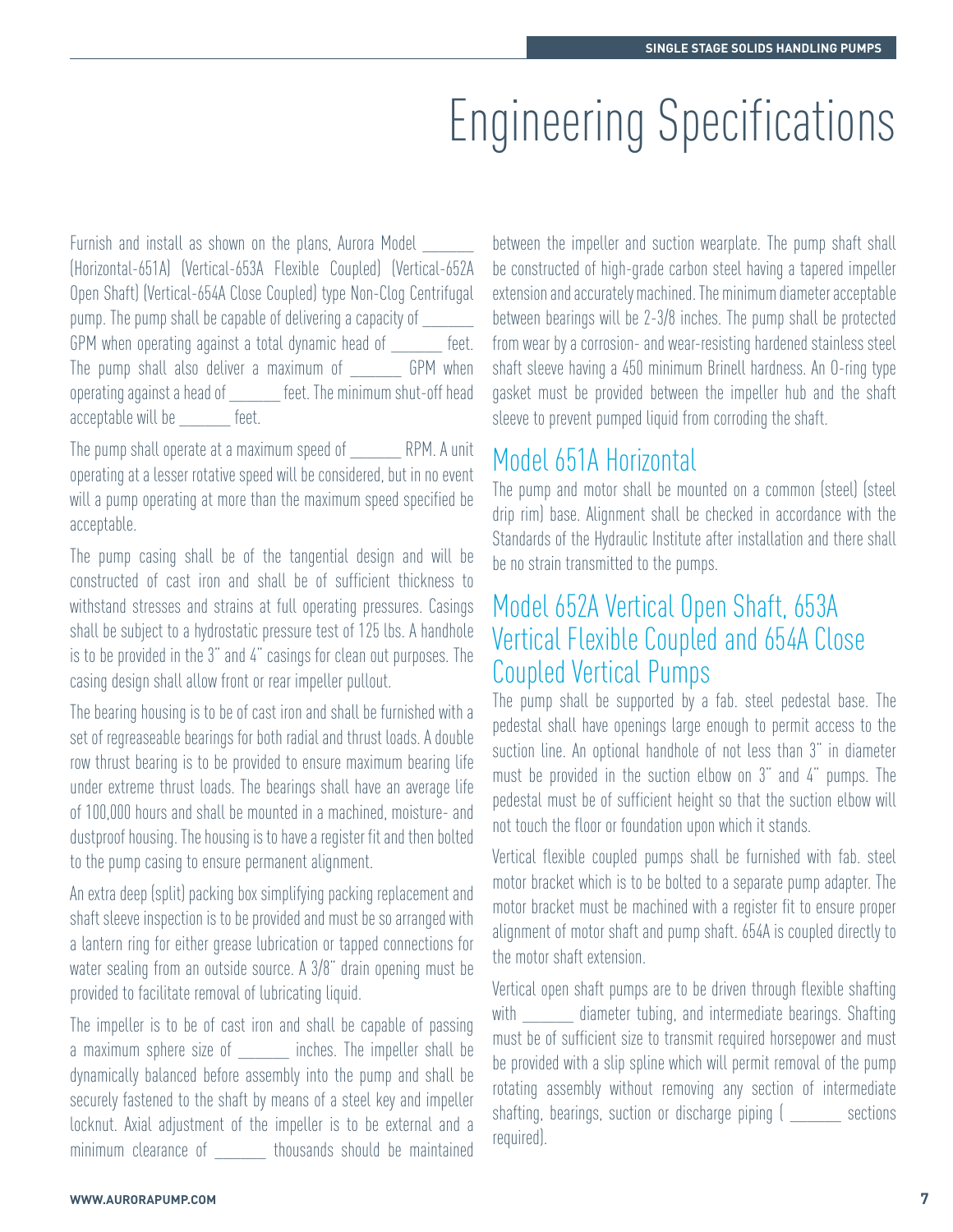### Engineering Specifications

Furnish and install as shown on the plans, Aurora Model \_\_\_\_\_\_ (Horizontal-651A) (Vertical-653A Flexible Coupled) (Vertical-652A Open Shaft) (Vertical-654A Close Coupled) type Non-Clog Centrifugal pump. The pump shall be capable of delivering a capacity of \_\_\_\_\_\_ GPM when operating against a total dynamic head of feet. The pump shall also deliver a maximum of GPM when operating against a head of \_\_\_\_\_\_ feet. The minimum shut-off head acceptable will be \_\_\_\_\_\_ feet.

The pump shall operate at a maximum speed of The pump shall operate at a maximum speed of operating at a lesser rotative speed will be considered, but in no event will a pump operating at more than the maximum speed specified be acceptable.

The pump casing shall be of the tangential design and will be constructed of cast iron and shall be of sufficient thickness to withstand stresses and strains at full operating pressures. Casings shall be subject to a hydrostatic pressure test of 125 lbs. A handhole is to be provided in the 3" and 4" casings for clean out purposes. The casing design shall allow front or rear impeller pullout.

The bearing housing is to be of cast iron and shall be furnished with a set of regreaseable bearings for both radial and thrust loads. A double row thrust bearing is to be provided to ensure maximum bearing life under extreme thrust loads. The bearings shall have an average life of 100,000 hours and shall be mounted in a machined, moisture- and dustproof housing. The housing is to have a register fit and then bolted to the pump casing to ensure permanent alignment.

An extra deep (split) packing box simplifying packing replacement and shaft sleeve inspection is to be provided and must be so arranged with a lantern ring for either grease lubrication or tapped connections for water sealing from an outside source. A 3/8" drain opening must be provided to facilitate removal of lubricating liquid.

The impeller is to be of cast iron and shall be capable of passing a maximum sphere size of \_\_\_\_\_\_\_ inches. The impeller shall be dynamically balanced before assembly into the pump and shall be securely fastened to the shaft by means of a steel key and impeller locknut. Axial adjustment of the impeller is to be external and a minimum clearance of thousands should be maintained between the impeller and suction wearplate. The pump shaft shall be constructed of high-grade carbon steel having a tapered impeller extension and accurately machined. The minimum diameter acceptable between bearings will be 2-3/8 inches. The pump shall be protected from wear by a corrosion- and wear-resisting hardened stainless steel shaft sleeve having a 450 minimum Brinell hardness. An O-ring type gasket must be provided between the impeller hub and the shaft sleeve to prevent pumped liquid from corroding the shaft.

#### Model 651A Horizontal

The pump and motor shall be mounted on a common (steel) (steel drip rim) base. Alignment shall be checked in accordance with the Standards of the Hydraulic Institute after installation and there shall be no strain transmitted to the pumps.

#### Model 652A Vertical Open Shaft, 653A Vertical Flexible Coupled and 654A Close Coupled Vertical Pumps

The pump shall be supported by a fab. steel pedestal base. The pedestal shall have openings large enough to permit access to the suction line. An optional handhole of not less than 3" in diameter must be provided in the suction elbow on 3" and 4" pumps. The pedestal must be of sufficient height so that the suction elbow will not touch the floor or foundation upon which it stands.

Vertical flexible coupled pumps shall be furnished with fab. steel motor bracket which is to be bolted to a separate pump adapter. The motor bracket must be machined with a register fit to ensure proper alignment of motor shaft and pump shaft. 654A is coupled directly to the motor shaft extension.

Vertical open shaft pumps are to be driven through flexible shafting with diameter tubing, and intermediate bearings. Shafting must be of sufficient size to transmit required horsepower and must be provided with a slip spline which will permit removal of the pump rotating assembly without removing any section of intermediate shafting, bearings, suction or discharge piping (sections required).